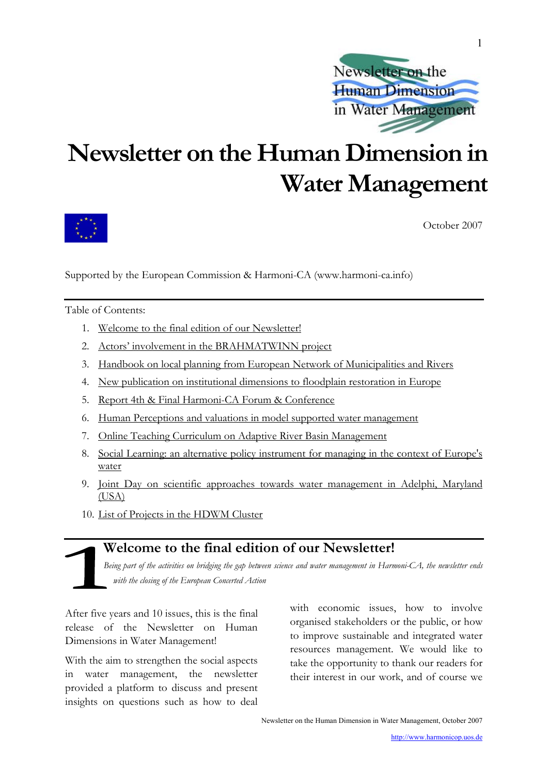

## <span id="page-0-0"></span>**Newsletter on the Human Dimension in Water Management**



October 2007

Supported by the European Commission & Harmoni-CA (www.harmoni-ca.info)

Table of Contents:

- 1. [Welcome to the final edition of our Newsletter!](#page-0-0)
- 2. [Actors' involvement in the BRAHMATWINN project](#page-1-0)
- 3. [Handbook on local planning from European Network of Municipalities and Rivers](#page-2-0)
- 4. [New publication on institutional dimensions to floodplain restoration in Europe](#page-2-0)
- 5. [Report 4th & Final Harmoni-CA Forum & Conference](#page-3-0)
- 6. [Human Perceptions and valuations in model supported water management](#page-4-0)
- 7. [Online Teaching Curriculum on Adaptive River Basin Management](#page-5-0)
- 8. [Social Learning: an alternative policy instrument for managing in the context of Europe's](#page-5-0)  [water](#page-5-0)
- 9. [Joint Day on scientific approaches towards water management in Adelphi, Maryland](#page-6-0)  [\(USA\)](#page-6-0)
- 10. [List of Projects in the HDWM Cluster](#page-8-0)

## **Welcome to the final edition of our Newsletter!**

*Being part of the activities on bridging the gap between science and water management in Harmoni-CA, the newsletter ends with the closing of the European Concerted Action* 

After five years and 10 issues, this is the final release of the Newsletter on Human Dimensions in Water Management!

With the aim to strengthen the social aspects in water management, the newsletter provided a platform to discuss and present insights on questions such as how to deal with economic issues, how to involve organised stakeholders or the public, or how to improve sustainable and integrated water resources management. We would like to take the opportunity to thank our readers for their interest in our work, and of course we

Newsletter on the Human Dimension in Water Management, October 2007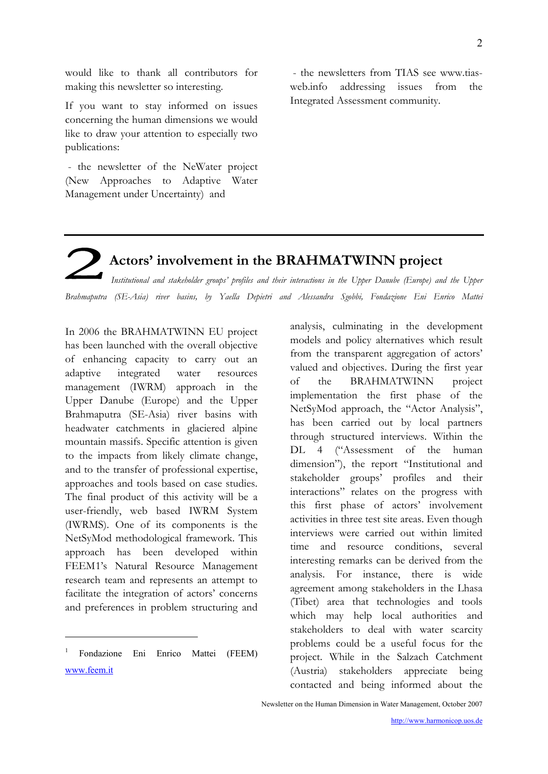<span id="page-1-0"></span>would like to thank all contributors for making this newsletter so interesting.

If you want to stay informed on issues concerning the human dimensions we would like to draw your attention to especially two publications:

 - the newsletter of the NeWater project (New Approaches to Adaptive Water Management under Uncertainty) and

 - the newsletters from TIAS see [www.tias](http://www.tias-web.info/)[web.info](http://www.tias-web.info/) addressing issues from the Integrated Assessment community.

## **Actors' involvement in the BRAHMATWINN project**

*Institutional and stakeholder groups' profiles and their interactions in the Upper Danube (Europe) and the Upper Brahmaputra (SE-Asia) river basins, by Yaella Depietri and Alessandra Sgobbi, Fondazione Eni Enrico Mattei*

In 2006 the BRAHMATWINN EU project has been launched with the overall objective of enhancing capacity to carry out an adaptive integrated water resources management (IWRM) approach in the Upper Danube (Europe) and the Upper Brahmaputra (SE-Asia) river basins with headwater catchments in glaciered alpine mountain massifs. Specific attention is given to the impacts from likely climate change, and to the transfer of professional expertise, approaches and tools based on case studies. The final product of this activity will be a user-friendly, web based IWRM System (IWRMS). One of its components is the NetSyMod methodological framework. This approach has been developed within FEEM[1](#page-1-1)'s Natural Resource Management research team and represents an attempt to facilitate the integration of actors' concerns and preferences in problem structuring and

<span id="page-1-1"></span>1 Fondazione Eni Enrico Mattei (FEEM) www.feem.it

1

analysis, culminating in the development models and policy alternatives which result from the transparent aggregation of actors' valued and objectives. During the first year of the BRAHMATWINN project implementation the first phase of the NetSyMod approach, the "Actor Analysis", has been carried out by local partners through structured interviews. Within the DL 4 ("Assessment of the human dimension"), the report "Institutional and stakeholder groups' profiles and their interactions" relates on the progress with this first phase of actors' involvement activities in three test site areas. Even though interviews were carried out within limited time and resource conditions, several interesting remarks can be derived from the analysis. For instance, there is wide agreement among stakeholders in the Lhasa (Tibet) area that technologies and tools which may help local authorities and stakeholders to deal with water scarcity problems could be a useful focus for the project. While in the Salzach Catchment (Austria) stakeholders appreciate being contacted and being informed about the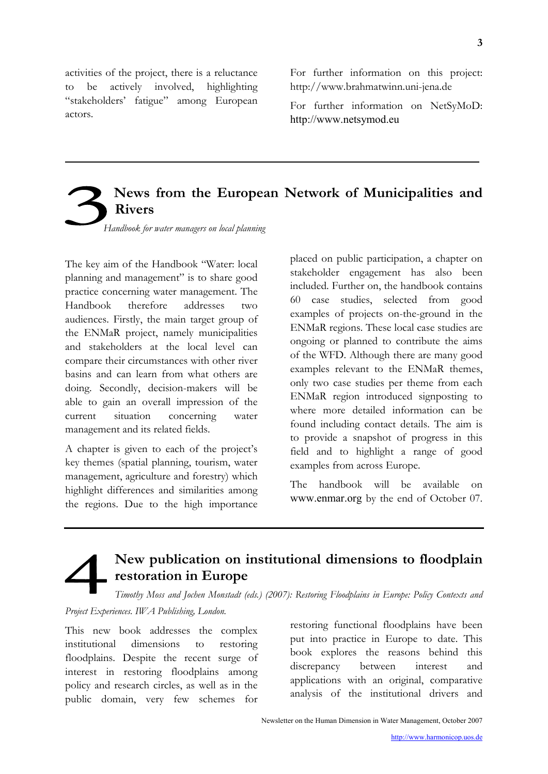<span id="page-2-0"></span>activities of the project, there is a reluctance to be actively involved, highlighting "stakeholders' fatigue" among European actors.

For further information on this project: [http://www.brahmatwinn.uni-jena.de](http://www.brahmatwinn.uni-jena.de/)

For further information on NetSyMoD: [http://www.netsymod.eu](http://www.netsymod.eu/)

## **News from the European Network of Municipalities and Rivers**

*Handbook for water managers on local planning*

The key aim of the Handbook "Water: local planning and management" is to share good practice concerning water management. The Handbook therefore addresses two audiences. Firstly, the main target group of the ENMaR project, namely municipalities and stakeholders at the local level can compare their circumstances with other river basins and can learn from what others are doing. Secondly, decision-makers will be able to gain an overall impression of the current situation concerning water management and its related fields.

A chapter is given to each of the project's key themes (spatial planning, tourism, water management, agriculture and forestry) which highlight differences and similarities among the regions. Due to the high importance

placed on public participation, a chapter on stakeholder engagement has also been included. Further on, the handbook contains 60 case studies, selected from good examples of projects on-the-ground in the ENMaR regions. These local case studies are ongoing or planned to contribute the aims of the WFD. Although there are many good examples relevant to the ENMaR themes, only two case studies per theme from each ENMaR region introduced signposting to where more detailed information can be found including contact details. The aim is to provide a snapshot of progress in this field and to highlight a range of good examples from across Europe.

The handbook will be available on [www.enmar.org](http://www.enmar.org/) by the end of October 07.

## **New publication on institutional dimensions to floodplain restoration in Europe**

*Timothy Moss and Jochen Monstadt (eds.) (2007): Restoring Floodplains in Europe: Policy Contexts and* 

#### *Project Experiences. IWA Publishing, London.*

This new book addresses the complex institutional dimensions to restoring floodplains. Despite the recent surge of interest in restoring floodplains among policy and research circles, as well as in the public domain, very few schemes for restoring functional floodplains have been put into practice in Europe to date. This book explores the reasons behind this discrepancy between interest and applications with an original, comparative analysis of the institutional drivers and

Newsletter on the Human Dimension in Water Management, October 2007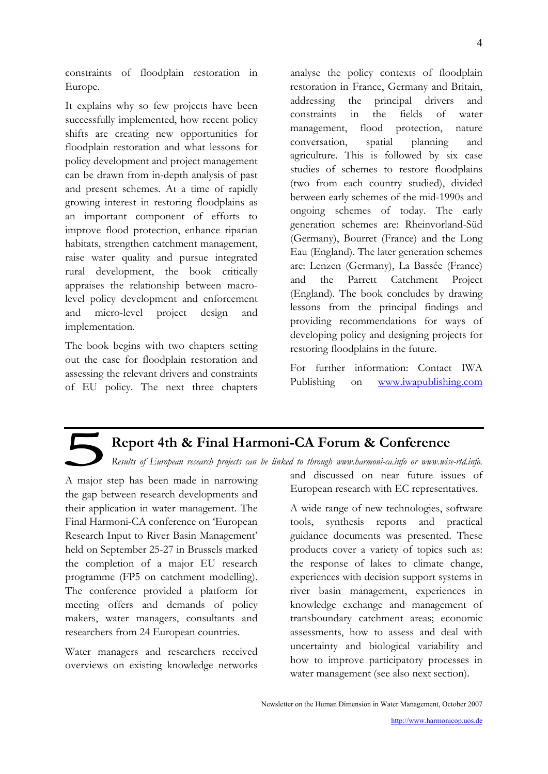<span id="page-3-0"></span>constraints of floodplain restoration in Europe.

It explains why so few projects have been successfully implemented, how recent policy shifts are creating new opportunities for floodplain restoration and what lessons for policy development and project management can be drawn from in-depth analysis of past and present schemes. At a time of rapidly growing interest in restoring floodplains as an important component of efforts to improve flood protection, enhance riparian habitats, strengthen catchment management, raise water quality and pursue integrated rural development, the book critically appraises the relationship between macrolevel policy development and enforcement and micro-level project design and implementation.

The book begins with two chapters setting out the case for floodplain restoration and assessing the relevant drivers and constraints of EU policy. The next three chapters

analyse the policy contexts of floodplain restoration in France, Germany and Britain, addressing the principal drivers and constraints in the fields of water management, flood protection, nature conversation, spatial planning and agriculture. This is followed by six case studies of schemes to restore floodplains (two from each country studied), divided between early schemes of the mid-1990s and ongoing schemes of today. The early generation schemes are: Rheinvorland-Süd (Germany), Bourret (France) and the Long Eau (England). The later generation schemes are: Lenzen (Germany), La Bassée (France) and the Parrett Catchment Project (England). The book concludes by drawing lessons from the principal findings and providing recommendations for ways of developing policy and designing projects for restoring floodplains in the future.

For further information: Contact IWA Publishing on [www.iwapublishing.com](http://www.iwapublishing.com/)

### **Report 4th & Final Harmoni-CA Forum & Conference**

*Results of European research projects can be linked to through [www.harmoni-ca.info](http://www.harmoni-ca.info/) or www.wise-rtd.info.*

A major step has been made in narrowing the gap between research developments and their application in water management. The Final Harmoni-CA conference on 'European Research Input to River Basin Management' held on September 25-27 in Brussels marked the completion of a major EU research programme (FP5 on catchment modelling). The conference provided a platform for meeting offers and demands of policy makers, water managers, consultants and researchers from 24 European countries.

Water managers and researchers received overviews on existing knowledge networks

and discussed on near future issues of European research with EC representatives.

A wide range of new technologies, software tools, synthesis reports and practical guidance documents was presented. These products cover a variety of topics such as: the response of lakes to climate change, experiences with decision support systems in river basin management, experiences in knowledge exchange and management of transboundary catchment areas; economic assessments, how to assess and deal with uncertainty and biological variability and how to improve participatory processes in water management (see also next section).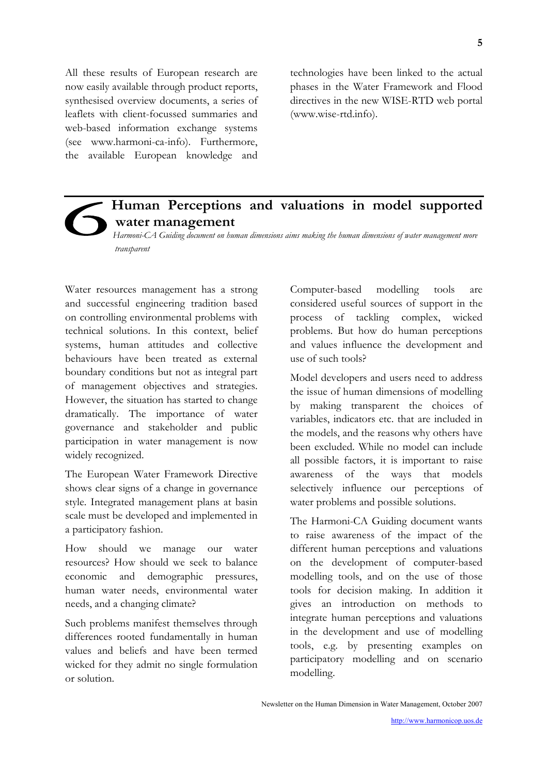<span id="page-4-0"></span>All these results of European research are now easily available through product reports, synthesised overview documents, a series of leaflets with client-focussed summaries and web-based information exchange systems (see [www.harmoni-ca-info](http://www.harmoni-ca-info/)). Furthermore, the available European knowledge and technologies have been linked to the actual phases in the Water Framework and Flood directives in the new WISE-RTD web portal ([www.wise-rtd.info](http://www.wise-rtd.info/)).

## **Human Perceptions and valuations in model supported water management**

*Harmoni-CA Guiding document on human dimensions aims making the human dimensions of water management more transparent* 

Water resources management has a strong and successful engineering tradition based on controlling environmental problems with technical solutions. In this context, belief systems, human attitudes and collective behaviours have been treated as external boundary conditions but not as integral part of management objectives and strategies. However, the situation has started to change dramatically. The importance of water governance and stakeholder and public participation in water management is now widely recognized.

The European Water Framework Directive shows clear signs of a change in governance style. Integrated management plans at basin scale must be developed and implemented in a participatory fashion.

How should we manage our water resources? How should we seek to balance economic and demographic pressures, human water needs, environmental water needs, and a changing climate?

Such problems manifest themselves through differences rooted fundamentally in human values and beliefs and have been termed wicked for they admit no single formulation or solution.

Computer-based modelling tools are considered useful sources of support in the process of tackling complex, wicked problems. But how do human perceptions and values influence the development and use of such tools?

Model developers and users need to address the issue of human dimensions of modelling by making transparent the choices of variables, indicators etc. that are included in the models, and the reasons why others have been excluded. While no model can include all possible factors, it is important to raise awareness of the ways that models selectively influence our perceptions of water problems and possible solutions.

The Harmoni-CA Guiding document wants to raise awareness of the impact of the different human perceptions and valuations on the development of computer-based modelling tools, and on the use of those tools for decision making. In addition it gives an introduction on methods to integrate human perceptions and valuations in the development and use of modelling tools, e.g. by presenting examples on participatory modelling and on scenario modelling.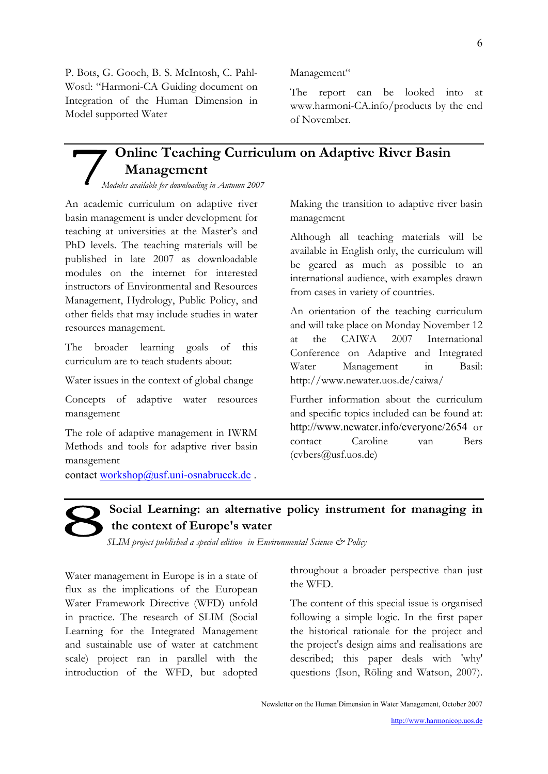<span id="page-5-0"></span>P. Bots, G. Gooch, B. S. McIntosh, C. Pahl-Wostl: "Harmoni-CA Guiding document on Integration of the Human Dimension in Model supported Water

#### Management"

The report can be looked into at [www.harmoni-CA.info/products](http://www.harmoni-ca.info/products) by the end of November.

## **Online Teaching Curriculum on Adaptive River Basin Management**

*Modules available for downloading in Autumn 2007*

An academic curriculum on adaptive river basin management is under development for teaching at universities at the Master's and PhD levels. The teaching materials will be published in late 2007 as downloadable modules on the internet for interested instructors of Environmental and Resources Management, Hydrology, Public Policy, and other fields that may include studies in water resources management.

The broader learning goals of this curriculum are to teach students about:

Water issues in the context of global change

Concepts of adaptive water resources management

The role of adaptive management in IWRM Methods and tools for adaptive river basin management

contact workshop@usf.uni-osnabrueck.de.

Making the transition to adaptive river basin management

Although all teaching materials will be available in English only, the curriculum will be geared as much as possible to an international audience, with examples drawn from cases in variety of countries.

An orientation of the teaching curriculum and will take place on Monday November 12 at the CAIWA 2007 International Conference on Adaptive and Integrated Water Management in Basil: http://www.newater.uos.de/caiwa/

Further information about the curriculum and specific topics included can be found at: <http://www.newater.info/everyone/2654> or contact Caroline van Bers (cvbers@usf.uos.de)

## **Social Learning: an alternative policy instrument for managing in the context of Europe's water**

*SLIM project published a special edition in Environmental Science & Policy* 

Water management in Europe is in a state of flux as the implications of the European Water Framework Directive (WFD) unfold in practice. The research of SLIM (Social Learning for the Integrated Management and sustainable use of water at catchment scale) project ran in parallel with the introduction of the WFD, but adopted throughout a broader perspective than just the WFD.

The content of this special issue is organised following a simple logic. In the first paper the historical rationale for the project and the project's design aims and realisations are described; this paper deals with 'why' questions (Ison, Röling and Watson, 2007).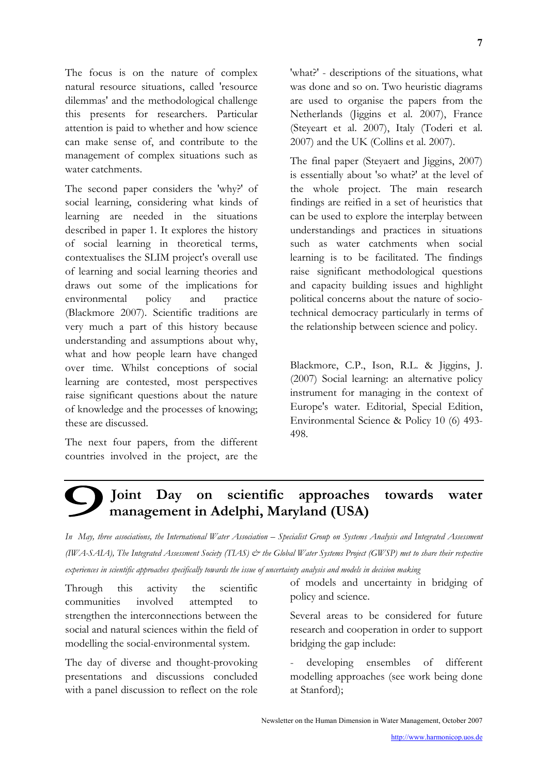<span id="page-6-0"></span>The focus is on the nature of complex natural resource situations, called 'resource dilemmas' and the methodological challenge this presents for researchers. Particular attention is paid to whether and how science can make sense of, and contribute to the management of complex situations such as water catchments.

The second paper considers the 'why?' of social learning, considering what kinds of learning are needed in the situations described in paper 1. It explores the history of social learning in theoretical terms, contextualises the SLIM project's overall use of learning and social learning theories and draws out some of the implications for environmental policy and practice (Blackmore 2007). Scientific traditions are very much a part of this history because understanding and assumptions about why, what and how people learn have changed over time. Whilst conceptions of social learning are contested, most perspectives raise significant questions about the nature of knowledge and the processes of knowing; these are discussed.

The next four papers, from the different countries involved in the project, are the

'what?' - descriptions of the situations, what was done and so on. Two heuristic diagrams are used to organise the papers from the Netherlands (Jiggins et al. 2007), France (Steyeart et al. 2007), Italy (Toderi et al. 2007) and the UK (Collins et al. 2007).

The final paper (Steyaert and Jiggins, 2007) is essentially about 'so what?' at the level of the whole project. The main research findings are reified in a set of heuristics that can be used to explore the interplay between understandings and practices in situations such as water catchments when social learning is to be facilitated. The findings raise significant methodological questions and capacity building issues and highlight political concerns about the nature of sociotechnical democracy particularly in terms of the relationship between science and policy.

Blackmore, C.P., Ison, R.L. & Jiggins, J. (2007) Social learning: an alternative policy instrument for managing in the context of Europe's water. Editorial, Special Edition, Environmental Science & Policy 10 (6) 493- 498.

## **Joint Day on scientific approaches towards water management in Adelphi, Maryland (USA)**

*In May, three associations, the International Water Association – Specialist Group on Systems Analysis and Integrated Assessment (IWA-SAIA), The Integrated Assessment Society (TIAS) & the Global Water Systems Project (GWSP) met to share their respective experiences in scientific approaches specifically towards the issue of uncertainty analysis and models in decision making* 

Through this activity the scientific communities involved attempted to strengthen the interconnections between the social and natural sciences within the field of modelling the social-environmental system.

The day of diverse and thought-provoking presentations and discussions concluded with a panel discussion to reflect on the role

of models and uncertainty in bridging of policy and science.

Several areas to be considered for future research and cooperation in order to support bridging the gap include:

developing ensembles of different modelling approaches (see work being done at Stanford);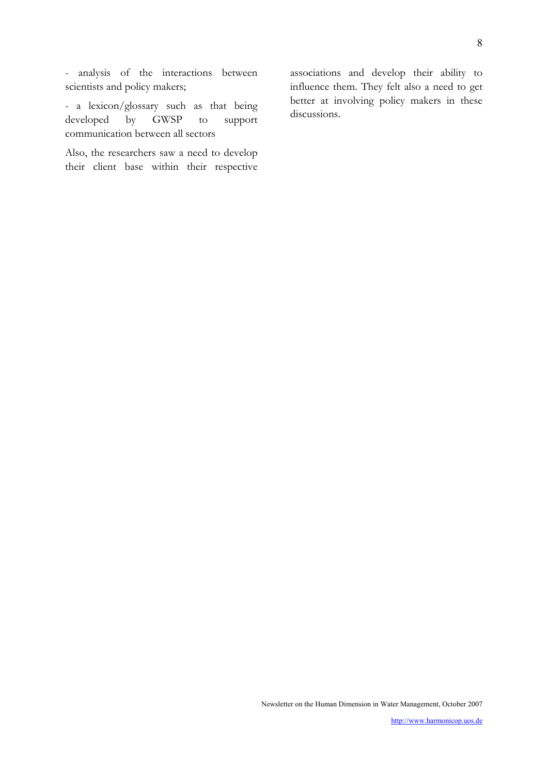- analysis of the interactions between scientists and policy makers;

- a lexicon/glossary such as that being developed by GWSP to support communication between all sectors

Also, the researchers saw a need to develop their client base within their respective associations and develop their ability to influence them. They felt also a need to get better at involving policy makers in these discussions.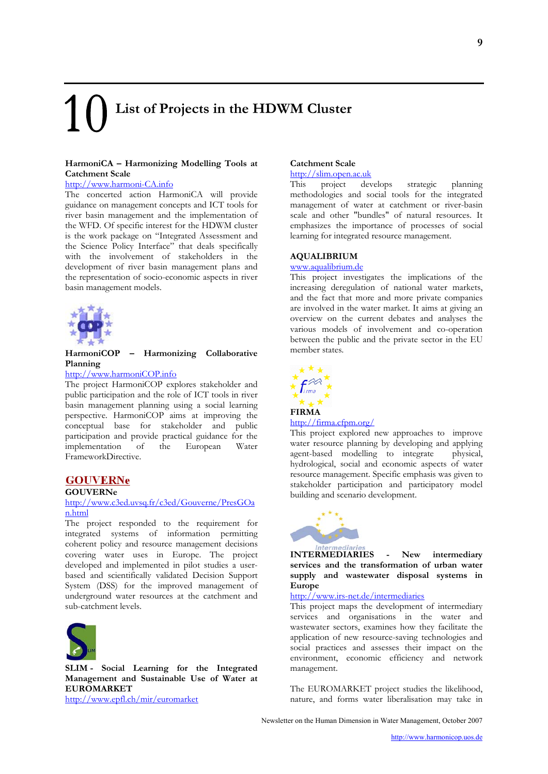# <span id="page-8-0"></span>**List of Projects in the HDWM Cluster**

#### **HarmoniCA – Harmonizing Modelling Tools at Catchment Scale**

#### [http://www.harmoni-CA.info](http://www.harmoni-ca.info/)

The concerted action HarmoniCA will provide guidance on management concepts and ICT tools for river basin management and the implementation of the WFD. Of specific interest for the HDWM cluster is the work package on "Integrated Assessment and the Science Policy Interface" that deals specifically with the involvement of stakeholders in the development of river basin management plans and the representation of socio-economic aspects in river basin management models.



#### **HarmoniCOP – Harmonizing Collaborative Planning**

#### [http://www.harmoniCOP.info](http://www.harmonicop.info/)

The project HarmoniCOP explores stakeholder and public participation and the role of ICT tools in river basin management planning using a social learning perspective. HarmoniCOP aims at improving the conceptual base for stakeholder and public participation and provide practical guidance for the implementation of the European Water FrameworkDirective.

#### **GOUVERNe**

#### **GOUVERNe**

#### [http://www.c3ed.uvsq.fr/c3ed/Gouverne/PresGOa](http://www.c3ed.uvsq.fr/c3ed/Gouverne/PresGOan.html) [n.html](http://www.c3ed.uvsq.fr/c3ed/Gouverne/PresGOan.html)

The project responded to the requirement for integrated systems of information permitting coherent policy and resource management decisions covering water uses in Europe. The project developed and implemented in pilot studies a userbased and scientifically validated Decision Support System (DSS) for the improved management of underground water resources at the catchment and sub-catchment levels.



**SLIM - Social Learning for the Integrated Management and Sustainable Use of Water at EUROMARKET**

<http://www.epfl.ch/mir/euromarket>

#### **Catchment Scale**

#### [http://slim.open.ac.uk](http://slim.open.ac.uk/)

This project develops strategic planning methodologies and social tools for the integrated management of water at catchment or river-basin scale and other "bundles" of natural resources. It emphasizes the importance of processes of social learning for integrated resource management.

#### **AQUALIBRIUM**

#### [www.aqualibrium.de](http://www.aqualibrium.de/)

This project investigates the implications of the increasing deregulation of national water markets, and the fact that more and more private companies are involved in the water market. It aims at giving an overview on the current debates and analyses the various models of involvement and co-operation between the public and the private sector in the EU member states.



#### **FIRMA**

#### <http://firma.cfpm.org/>

This project explored new approaches to improve water resource planning by developing and applying agent-based modelling to integrate physical, hydrological, social and economic aspects of water resource management. Specific emphasis was given to stakeholder participation and participatory model building and scenario development.



**INTERMEDIARIES - New intermediary services and the transformation of urban water supply and wastewater disposal systems in Europe** 

#### http://[www.irs-net.de/intermediaries](http://www.irs-net.de/intermediaries)

This project maps the development of intermediary services and organisations in the water and wastewater sectors, examines how they facilitate the application of new resource-saving technologies and social practices and assesses their impact on the environment, economic efficiency and network management.

The EUROMARKET project studies the likelihood, nature, and forms water liberalisation may take in

Newsletter on the Human Dimension in Water Management, October 2007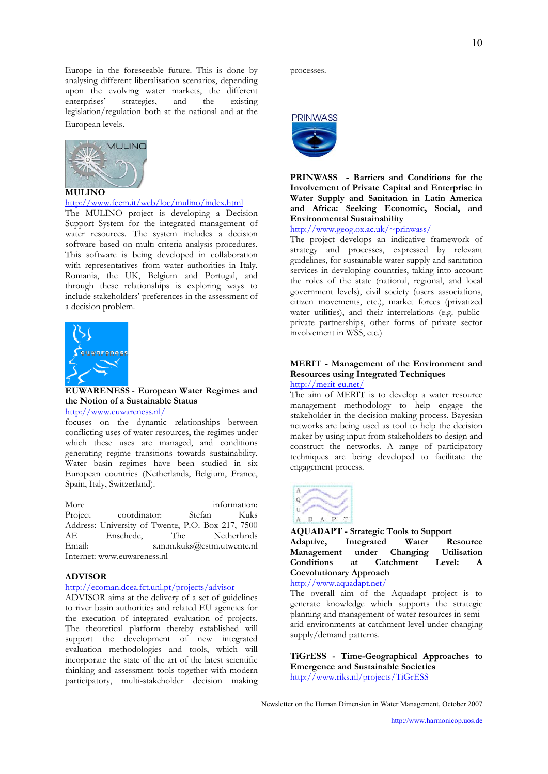Europe in the foreseeable future. This is done by analysing different liberalisation scenarios, depending upon the evolving water markets, the different enterprises' strategies, and the existing enterprises' strategies, and the legislation/regulation both at the national and at the European levels.



#### **MULINO**

#### <http://www.feem.it/web/loc/mulino/index.html>

The MULINO project is developing a Decision Support System for the integrated management of water resources. The system includes a decision software based on multi criteria analysis procedures. This software is being developed in collaboration with representatives from water authorities in Italy, Romania, the UK, Belgium and Portugal, and through these relationships is exploring ways to include stakeholders' preferences in the assessment of a decision problem.



**EUWARENESS** - **European Water Regimes and the Notion of a Sustainable Status**  <http://www.euwareness.nl/>

focuses on the dynamic relationships between conflicting uses of water resources, the regimes under which these uses are managed, and conditions generating regime transitions towards sustainability. Water basin regimes have been studied in six European countries (Netherlands, Belgium, France, Spain, Italy, Switzerland).

More information:<br>Project coordinator: Stefan Kuks Project coordinator: Stefan Kuks Address: University of Twente, P.O. Box 217, 7500 AE Enschede, The Netherlands Email: s.m.m.kuks@cstm.utwente.nl Internet: www.euwareness.nl

#### **ADVISOR**

#### <http://ecoman.dcea.fct.unl.pt/projects/advisor>

ADVISOR aims at the delivery of a set of guidelines to river basin authorities and related EU agencies for the execution of integrated evaluation of projects. The theoretical platform thereby established will support the development of new integrated evaluation methodologies and tools, which will incorporate the state of the art of the latest scientific thinking and assessment tools together with modern participatory, multi-stakeholder decision making processes.



#### **PRINWASS - Barriers and Conditions for the Involvement of Private Capital and Enterprise in Water Supply and Sanitation in Latin America and Africa: Seeking Economic, Social, and Environmental Sustainability**

<http://www.geog.ox.ac.uk/~prinwass/>

The project develops an indicative framework of strategy and processes, expressed by relevant guidelines, for sustainable water supply and sanitation services in developing countries, taking into account the roles of the state (national, regional, and local government levels), civil society (users associations, citizen movements, etc.), market forces (privatized water utilities), and their interrelations (e.g. publicprivate partnerships, other forms of private sector involvement in WSS, etc.)

#### **MERIT - Management of the Environment and Resources using Integrated Techniques**  <http://merit-eu.net/>

The aim of MERIT is to develop a water resource management methodology to help engage the stakeholder in the decision making process. Bayesian networks are being used as tool to help the decision maker by using input from stakeholders to design and construct the networks. A range of participatory techniques are being developed to facilitate the engagement process.



**AQUADAPT - Strategic Tools to Support Adaptive, Integrated Water Resource Management under Changing Utilisation Conditions at Catchment Level: A Coevolutionary Approach** 

<http://www.aquadapt.net/>

The overall aim of the Aquadapt project is to generate knowledge which supports the strategic planning and management of water resources in semiarid environments at catchment level under changing supply/demand patterns.

**TiGrESS - Time-Geographical Approaches to Emergence and Sustainable Societies**  <http://www.riks.nl/projects/TiGrESS>

10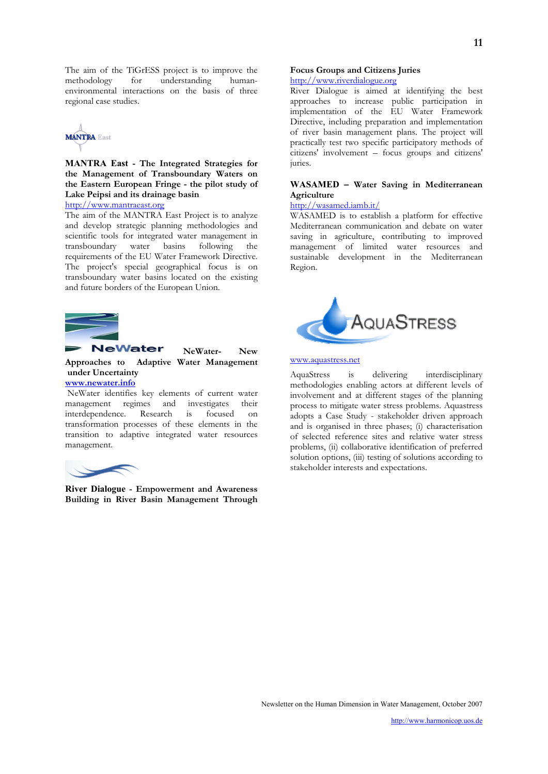The aim of the TiGrESS project is to improve the methodology for understanding humanfor understanding humanenvironmental interactions on the basis of three regional case studies.



**MANTRA East - The Integrated Strategies for the Management of Transboundary Waters on the Eastern European Fringe - the pilot study of Lake Peipsi and its drainage basin** 

[http://www.mantraeast.org](http://www.mantraeast.org/)

The aim of the MANTRA East Project is to analyze and develop strategic planning methodologies and scientific tools for integrated water management in transboundary water basins following the requirements of the EU Water Framework Directive. The project's special geographical focus is on transboundary water basins located on the existing and future borders of the European Union.



#### **NeWater- New Approaches to Adaptive Water Management under Uncertainty [www.newater.info](http://www.newater.info/)**

 NeWater identifies key elements of current water management regimes and investigates their<br>interdependence. Research is focused on interdependence. Research is focused on transformation processes of these elements in the transition to adaptive integrated water resources management.



**River Dialogue - Empowerment and Awareness Building in River Basin Management Through** 

#### **Focus Groups and Citizens Juries**  [http://www.riverdialogue.org](http://www.riverdialogue.org/)

River Dialogue is aimed at identifying the best approaches to increase public participation in implementation of the EU Water Framework Directive, including preparation and implementation of river basin management plans. The project will practically test two specific participatory methods of citizens' involvement – focus groups and citizens' juries.

#### **WASAMED – Water Saving in Mediterranean Agriculture**

#### <http://wasamed.iamb.it/>

WASAMED is to establish a platform for effective Mediterranean communication and debate on water saving in agriculture, contributing to improved management of limited water resources and sustainable development in the Mediterranean Region.



#### [www.aquastress.net](http://www.aquastress.net/)

AquaStress is delivering interdisciplinary methodologies enabling actors at different levels of involvement and at different stages of the planning process to mitigate water stress problems. Aquastress adopts a Case Study - stakeholder driven approach and is organised in three phases; (i) characterisation of selected reference sites and relative water stress problems, (ii) collaborative identification of preferred solution options, (iii) testing of solutions according to stakeholder interests and expectations.